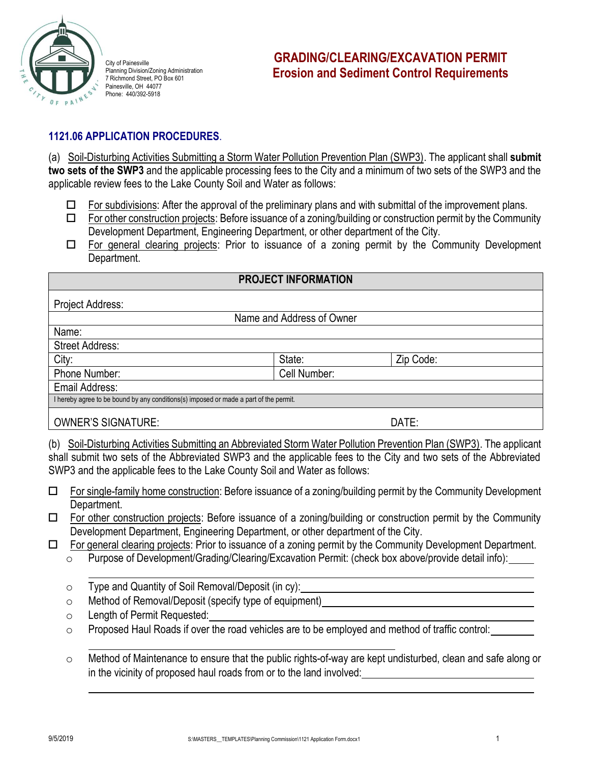

City of Painesville Planning Division/Zoning Administration 7 Richmond Street, PO Box 601 Painesville, OH 44077 Phone: 440/392-5918

## **1121.06 APPLICATION PROCEDURES**.

(a) Soil-Disturbing Activities Submitting a Storm Water Pollution Prevention Plan (SWP3). The applicant shall **submit two sets of the SWP3** and the applicable processing fees to the City and a minimum of two sets of the SWP3 and the applicable review fees to the Lake County Soil and Water as follows:

- $\Box$  For subdivisions: After the approval of the preliminary plans and with submittal of the improvement plans.
- $\Box$  For other construction projects: Before issuance of a zoning/building or construction permit by the Community Development Department, Engineering Department, or other department of the City.
- $\Box$  For general clearing projects: Prior to issuance of a zoning permit by the Community Development Department.

| <b>PROJECT INFORMATION</b>                                                            |                           |           |  |
|---------------------------------------------------------------------------------------|---------------------------|-----------|--|
| Project Address:                                                                      |                           |           |  |
|                                                                                       | Name and Address of Owner |           |  |
| Name:                                                                                 |                           |           |  |
| <b>Street Address:</b>                                                                |                           |           |  |
| City:                                                                                 | State:                    | Zip Code: |  |
| Phone Number:                                                                         | Cell Number:              |           |  |
| Email Address:                                                                        |                           |           |  |
| I hereby agree to be bound by any conditions(s) imposed or made a part of the permit. |                           |           |  |
| <b>OWNER'S SIGNATURE:</b>                                                             |                           | DATE:     |  |

(b) Soil-Disturbing Activities Submitting an Abbreviated Storm Water Pollution Prevention Plan (SWP3). The applicant shall submit two sets of the Abbreviated SWP3 and the applicable fees to the City and two sets of the Abbreviated SWP3 and the applicable fees to the Lake County Soil and Water as follows:

- For single-family home construction: Before issuance of a zoning/building permit by the Community Development Department.
- $\Box$  For other construction projects: Before issuance of a zoning/building or construction permit by the Community Development Department, Engineering Department, or other department of the City.
- $\Box$  For general clearing projects: Prior to issuance of a zoning permit by the Community Development Department.
	- o Purpose of Development/Grading/Clearing/Excavation Permit: (check box above/provide detail info):
	- o Type and Quantity of Soil Removal/Deposit (in cy):
	- o Method of Removal/Deposit (specify type of equipment)
	- o Length of Permit Requested:
	- o Proposed Haul Roads if over the road vehicles are to be employed and method of traffic control:
	- o Method of Maintenance to ensure that the public rights-of-way are kept undisturbed, clean and safe along or in the vicinity of proposed haul roads from or to the land involved: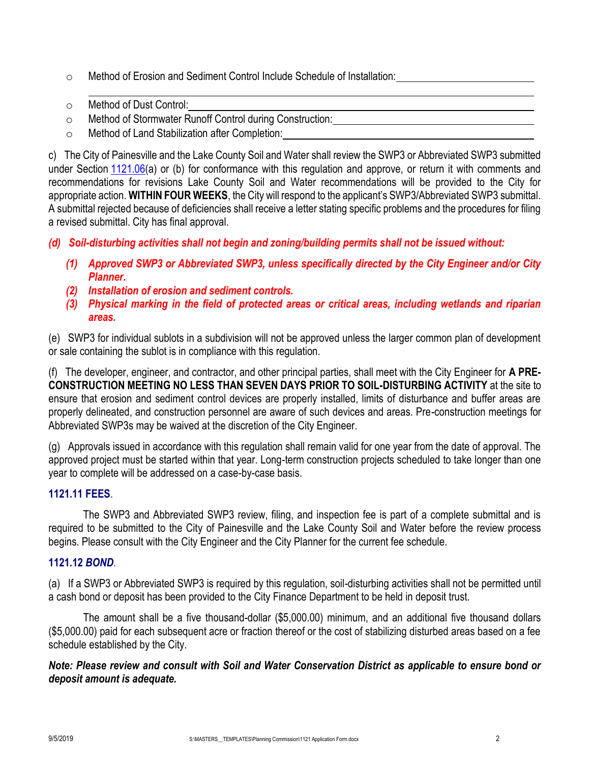- o Method of Erosion and Sediment Control Include Schedule of Installation:
- o Method of Dust Control:
- o Method of Stormwater Runoff Control during Construction:
- o Method of Land Stabilization after Completion:

c) The City of Painesville and the Lake County Soil and Water shall review the SWP3 or Abbreviated SWP3 submitted under Section [1121.06\(](http://library.amlegal.com/nxt/gateway.dll?f=jumplink$jumplink_x=Advanced$jumplink_vpc=first$jumplink_xsl=querylink.xsl$jumplink_sel=title;path;content-type;home-title;item-bookmark$jumplink_d=ohio(painesville_oh)$jumplink_q=%5bfield%20folio-destination-name:%271121.06%27%5d$jumplink_md=target-id=JD_1121.06)a) or (b) for conformance with this regulation and approve, or return it with comments and recommendations for revisions Lake County Soil and Water recommendations will be provided to the City for appropriate action. **WITHIN FOUR WEEKS**, the City will respond to the applicant's SWP3/Abbreviated SWP3 submittal. A submittal rejected because of deficiencies shall receive a letter stating specific problems and the procedures for filing a revised submittal. City has final approval.

*(d) Soil-disturbing activities shall not begin and zoning/building permits shall not be issued without:*

- *(1) Approved SWP3 or Abbreviated SWP3, unless specifically directed by the City Engineer and/or City Planner.*
- *(2) Installation of erosion and sediment controls.*
- *(3) Physical marking in the field of protected areas or critical areas, including wetlands and riparian areas.*

(e) SWP3 for individual sublots in a subdivision will not be approved unless the larger common plan of development or sale containing the sublot is in compliance with this regulation.

(f) The developer, engineer, and contractor, and other principal parties, shall meet with the City Engineer for **A PRE-CONSTRUCTION MEETING NO LESS THAN SEVEN DAYS PRIOR TO SOIL-DISTURBING ACTIVITY** at the site to ensure that erosion and sediment control devices are properly installed, limits of disturbance and buffer areas are properly delineated, and construction personnel are aware of such devices and areas. Pre-construction meetings for Abbreviated SWP3s may be waived at the discretion of the City Engineer.

(g) Approvals issued in accordance with this regulation shall remain valid for one year from the date of approval. The approved project must be started within that year. Long-term construction projects scheduled to take longer than one year to complete will be addressed on a case-by-case basis.

## **1121.11 FEES**.

The SWP3 and Abbreviated SWP3 review, filing, and inspection fee is part of a complete submittal and is required to be submitted to the City of Painesville and the Lake County Soil and Water before the review process begins. Please consult with the City Engineer and the City Planner for the current fee schedule.

## **1121***.***12** *BOND*.

(a) If a SWP3 or Abbreviated SWP3 is required by this regulation, soil-disturbing activities shall not be permitted until a cash bond or deposit has been provided to the City Finance Department to be held in deposit trust.

The amount shall be a five thousand-dollar (\$5,000.00) minimum, and an additional five thousand dollars (\$5,000.00) paid for each subsequent acre or fraction thereof or the cost of stabilizing disturbed areas based on a fee schedule established by the City.

*Note: Please review and consult with Soil and Water Conservation District as applicable to ensure bond or deposit amount is adequate.*